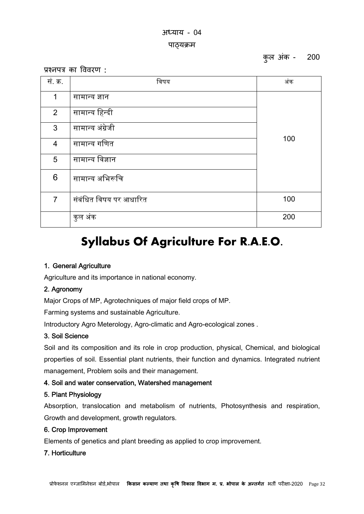# अयाय - 04 पाठयक्रम

कुल अंक - 200

प्रश्नपत्र का विवरण :

| सं. क्र.        | विषय                   | अंक |
|-----------------|------------------------|-----|
| $\mathbf 1$     | सामान्य ज्ञान          | 100 |
| $\overline{2}$  | सामान्य हिन्दी         |     |
| 3               | सामान्य अंग्रेजी       |     |
| 4               | सामान्य गणित           |     |
| $5\overline{)}$ | सामान्य विज्ञान        |     |
| 6               | सामान्य अभिरूचि        |     |
| $\overline{7}$  | संबंधित विषय पर आधारित | 100 |
|                 | कुल अंक                | 200 |

# **Syllabus Of Agriculture For R.A.E.O.**

# 1. General Agriculture

Agriculture and its importance in national economy.

# 2. Agronomy

Major Crops of MP, Agrotechniques of major field crops of MP.

Farming systems and sustainable Agriculture.

Introductory Agro Meterology, Agro-climatic and Agro-ecological zones .

## 3. Soil Science

Soil and its composition and its role in crop production, physical, Chemical, and biological properties of soil. Essential plant nutrients, their function and dynamics. Integrated nutrient management, Problem soils and their management.

# 4. Soil and water conservation, Watershed management

## 5. Plant Physiology

Absorption, translocation and metabolism of nutrients, Photosynthesis and respiration, Growth and development, growth regulators.

# 6. Crop Improvement

Elements of genetics and plant breeding as applied to crop improvement.

## 7. Horticulture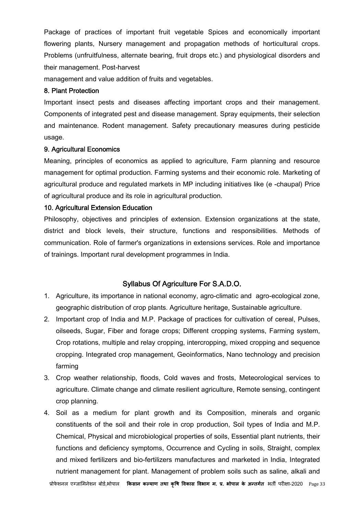Package of practices of important fruit vegetable Spices and economically important flowering plants, Nursery management and propagation methods of horticultural crops. Problems (unfruitfulness, alternate bearing, fruit drops etc.) and physiological disorders and their management. Post-harvest

management and value addition of fruits and vegetables.

#### 8. Plant Protection

Important insect pests and diseases affecting important crops and their management. Components of integrated pest and disease management. Spray equipments, their selection and maintenance. Rodent management. Safety precautionary measures during pesticide usage.

#### 9. Agricultural Economics

Meaning, principles of economics as applied to agriculture, Farm planning and resource management for optimal production. Farming systems and their economic role. Marketing of agricultural produce and regulated markets in MP including initiatives like (e -chaupal) Price of agricultural produce and its role in agricultural production.

## 10. Agricultural Extension Education

Philosophy, objectives and principles of extension. Extension organizations at the state, district and block levels, their structure, functions and responsibilities. Methods of communication. Role of farmer's organizations in extensions services. Role and importance of trainings. Important rural development programmes in India.

# Syllabus Of Agriculture For S.A.D.O.

- 1. Agriculture, its importance in national economy, agro-climatic and agro-ecological zone, geographic distribution of crop plants. Agriculture heritage, Sustainable agriculture.
- 2. Important crop of India and M.P. Package of practices for cultivation of cereal, Pulses, oilseeds, Sugar, Fiber and forage crops; Different cropping systems, Farming system, Crop rotations, multiple and relay cropping, intercropping, mixed cropping and sequence cropping. Integrated crop management, Geoinformatics, Nano technology and precision farming
- 3. Crop weather relationship, floods, Cold waves and frosts, Meteorological services to agriculture. Climate change and climate resilient agriculture, Remote sensing, contingent crop planning.
- 4. Soil as a medium for plant growth and its Composition, minerals and organic constituents of the soil and their role in crop production, Soil types of India and M.P. Chemical, Physical and microbiological properties of soils, Essential plant nutrients, their functions and deficiency symptoms, Occurrence and Cycling in soils, Straight, complex and mixed fertilizers and bio-fertilizers manufactures and marketed in India, Integrated nutrient management for plant. Management of problem soils such as saline, alkali and